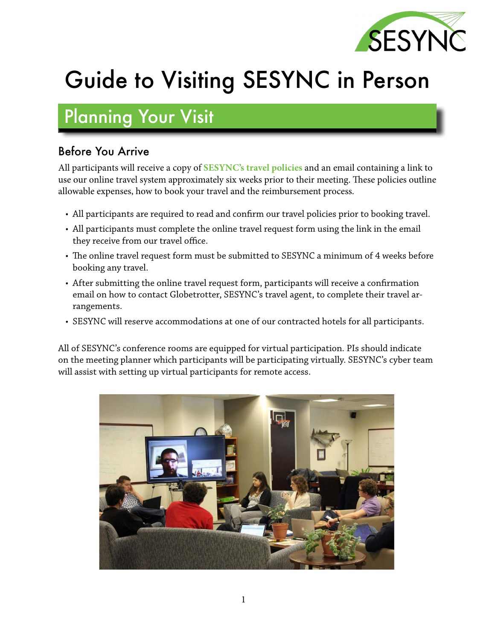

# Guide to Visiting SESYNC in Person

## Planning Your Visit

#### Before You Arrive

All participants will receive a copy of **[SESYNC's travel policies](https://d9ymuw65n2xoh.cloudfront.net/stage/public/2022-05/SESYNC%20Travel%20and%20Reimbursement%20Policies.pdf?VersionId=nv_WI__jgUmv3.ZntVh3FXzbiQec5uBD)** and an email containing a link to use our online travel system approximately six weeks prior to their meeting. These policies outline allowable expenses, how to book your travel and the reimbursement process.

- All participants are required to read and confirm our travel policies prior to booking travel.
- All participants must complete the online travel request form using the link in the email they receive from our travel office.
- The online travel request form must be submitted to SESYNC a minimum of 4 weeks before booking any travel.
- After submitting the online travel request form, participants will receive a confirmation email on how to contact Globetrotter, SESYNC's travel agent, to complete their travel arrangements.
- SESYNC will reserve accommodations at one of our contracted hotels for all participants.

All of SESYNC's conference rooms are equipped for virtual participation. PIs should indicate on the meeting planner which participants will be participating virtually. SESYNC's cyber team will assist with setting up virtual participants for remote access.

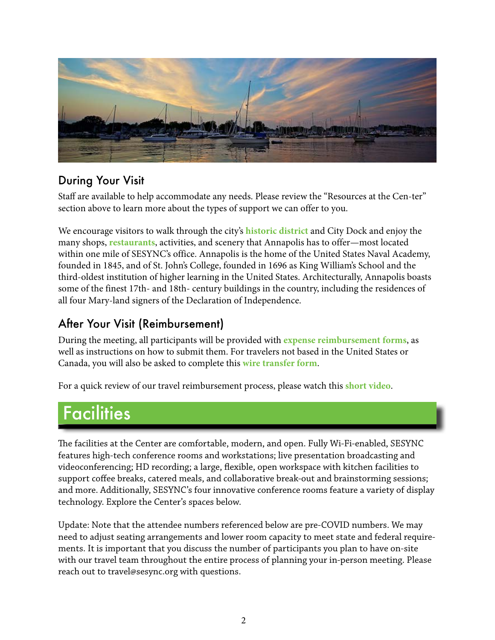

#### During Your Visit

Staff are available to help accommodate any needs. Please review the "Resources at the Cen-ter" section above to learn more about the types of support we can offer to you.

We encourage visitors to walk through the city's **[historic district](https://www.visitannapolis.org/)** and City Dock and enjoy the many shops, **[restaurants](https://d9ymuw65n2xoh.cloudfront.net/stage/public/2022-04/SESYNC%20Dining%20Guide%20Sept.%202021_0.pdf?VersionId=p_.gYvvy86Zti_PR.39FoWJI2RLI0FJm)**, activities, and scenery that Annapolis has to offer—most located within one mile of SESYNC's office. Annapolis is the home of the United States Naval Academy, founded in 1845, and of St. John's College, founded in 1696 as King William's School and the third-oldest institution of higher learning in the United States. Architecturally, Annapolis boasts some of the finest 17th- and 18th- century buildings in the country, including the residences of all four Mary-land signers of the Declaration of Independence.

#### After Your Visit (Reimbursement)

During the meeting, all participants will be provided with **[expense reimbursement forms](https://d9ymuw65n2xoh.cloudfront.net/stage/public/2021-11/September%202021%20SESYNC%20Travel%20Reimbursement%20Request%20Form%20-%20Fillable.pdf?VersionId=UWlKaMTxcUD2BgvZTasmOH5F97tuPUae)**, as well as instructions on how to submit them. For travelers not based in the United States or Canada, you will also be asked to complete this **[wire transfer form](https://d9ymuw65n2xoh.cloudfront.net/stage/public/2021-11/GAD%20X-9%20Fillable%207-17.pdf?VersionId=m6.KgCu9IqpJLtxoCPrgWs7_Q7KQFO3Q)**.

For a quick review of our travel reimbursement process, please watch this **[short video](https://youtu.be/MrlyMLbxc6g)**.

### **Facilities**

The facilities at the Center are comfortable, modern, and open. Fully Wi-Fi-enabled, SESYNC features high-tech conference rooms and workstations; live presentation broadcasting and videoconferencing; HD recording; a large, flexible, open workspace with kitchen facilities to support coffee breaks, catered meals, and collaborative break-out and brainstorming sessions; and more. Additionally, SESYNC's four innovative conference rooms feature a variety of display technology. Explore the Center's spaces below.

Update: Note that the attendee numbers referenced below are pre-COVID numbers. We may need to adjust seating arrangements and lower room capacity to meet state and federal requirements. It is important that you discuss the number of participants you plan to have on-site with our travel team throughout the entire process of planning your in-person meeting. Please reach out to travel@sesync.org with questions.